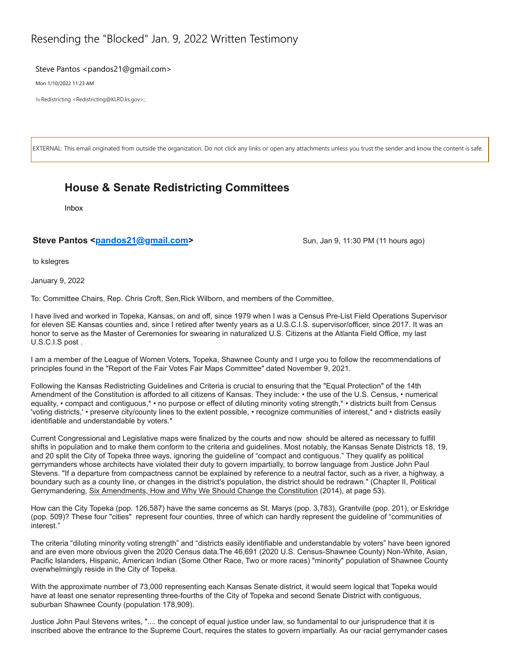## Resending the "Blocked" Jan. 9, 2022 Written Testimony

## Steve Pantos <pandos21@gmail.com>

Mon 1/10/2022 11:23 AM

To:Redistricting <Redistricting@KLRD.ks.gov>;

EXTERNAL: This email originated from outside the organization. Do not click any links or open any attachments unless you trust the sender and know the content is safe.

## **House & Senate Redistricting Committees**

Inbox

## Steve Pantos <pandos21@gmail.com><br>
Sun, Jan 9, 11:30 PM (11 hours ago)

to kslegres

January 9, 2022

To: Committee Chairs, Rep. Chris Croft, Sen,Rick Wilborn, and members of the Committee,

I have lived and worked in Topeka, Kansas, on and off, since 1979 when I was a Census Pre-List Field Operations Supervisor for eleven SE Kansas counties and, since I retired after twenty years as a U.S.C.I.S. supervisor/officer, since 2017. It was an honor to serve as the Master of Ceremonies for swearing in naturalized U.S. Citizens at the Atlanta Field Office, my last U.S.C.I.S post .

I am a member of the League of Women Voters, Topeka, Shawnee County and I urge you to follow the recommendations of principles found in the "Report of the Fair Votes Fair Maps Committee" dated November 9, 2021.

Following the Kansas Redistricting Guidelines and Criteria is crucial to ensuring that the "Equal Protection" of the 14th Amendment of the Constitution is afforded to all citizens of Kansas. They include: • the use of the U.S. Census, • numerical equality, • compact and contiguous,\* • no purpose or effect of diluting minority voting strength,\* • districts built from Census 'voting districts,' • preserve city/county lines to the extent possible, • recognize communities of interest,\* and • districts easily identifiable and understandable by voters.\*

Current Congressional and Legislative maps were finalized by the courts and now should be altered as necessary to fulfill shifts in population and to make them conform to the criteria and guidelines. Most notably, the Kansas Senate Districts 18, 19, and 20 split the City of Topeka three ways, ignoring the guideline of "compact and contiguous." They qualify as political gerrymanders whose architects have violated their duty to govern impartially, to borrow language from Justice John Paul Stevens. "If a departure from compactness cannot be explained by reference to a neutral factor, such as a river, a highway, a boundary such as a county line, or changes in the district's population, the district should be redrawn." (Chapter II, Political Gerrymandering, Six Amendments, How and Why We Should Change the Constitution (2014), at page 53).

How can the City Topeka (pop. 126,587) have the same concerns as St. Marys (pop. 3,783), Grantville (pop. 201), or Eskridge (pop. 509)? These four "cities" represent four counties, three of which can hardly represent the guideline of "communities of interest."

The criteria "diluting minority voting strength" and "districts easily identifiable and understandable by voters" have been ignored and are even more obvious given the 2020 Census data.The 46,691 (2020 U.S. Census-Shawnee County) Non-White, Asian, Pacific Islanders, Hispanic, American Indian (Some Other Race, Two or more races) "minority" population of Shawnee County overwhelmingly reside in the City of Topeka.

With the approximate number of 73,000 representing each Kansas Senate district, it would seem logical that Topeka would have at least one senator representing three-fourths of the City of Topeka and second Senate District with contiguous, suburban Shawnee County (population 178,909).

Justice John Paul Stevens writes, ".... the concept of equal justice under law, so fundamental to our jurisprudence that it is inscribed above the entrance to the Supreme Court, requires the states to govern impartially. As our racial gerrymander cases